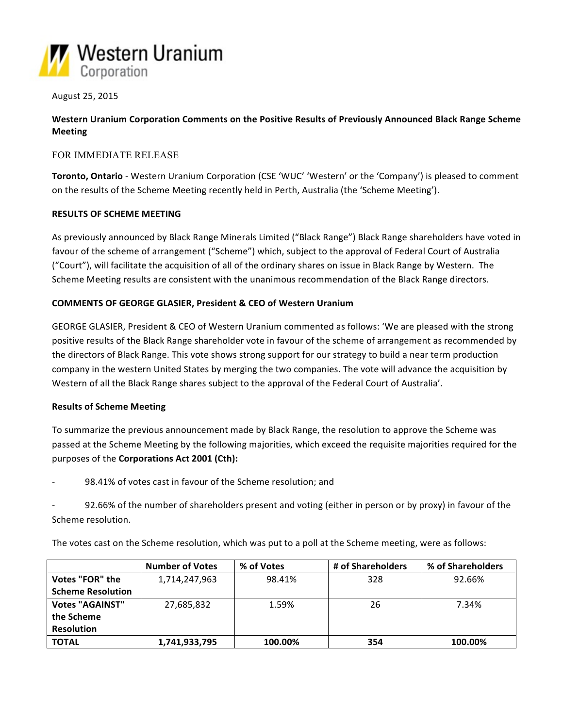

August 25, 2015

Western Uranium Corporation Comments on the Positive Results of Previously Announced Black Range Scheme **Meeting**

# FOR IMMEDIATE RELEASE

**Toronto, Ontario** - Western Uranium Corporation (CSE 'WUC' 'Western' or the 'Company') is pleased to comment on the results of the Scheme Meeting recently held in Perth, Australia (the 'Scheme Meeting').

## **RESULTS OF SCHEME MEETING**

As previously announced by Black Range Minerals Limited ("Black Range") Black Range shareholders have voted in favour of the scheme of arrangement ("Scheme") which, subject to the approval of Federal Court of Australia ("Court"), will facilitate the acquisition of all of the ordinary shares on issue in Black Range by Western. The Scheme Meeting results are consistent with the unanimous recommendation of the Black Range directors.

## **COMMENTS OF GEORGE GLASIER, President & CEO of Western Uranium**

GEORGE GLASIER, President & CEO of Western Uranium commented as follows: 'We are pleased with the strong positive results of the Black Range shareholder vote in favour of the scheme of arrangement as recommended by the directors of Black Range. This vote shows strong support for our strategy to build a near term production company in the western United States by merging the two companies. The vote will advance the acquisition by Western of all the Black Range shares subject to the approval of the Federal Court of Australia'.

## **Results of Scheme Meeting**

To summarize the previous announcement made by Black Range, the resolution to approve the Scheme was passed at the Scheme Meeting by the following majorities, which exceed the requisite majorities required for the purposes of the **Corporations Act 2001 (Cth):** 

98.41% of votes cast in favour of the Scheme resolution; and

92.66% of the number of shareholders present and voting (either in person or by proxy) in favour of the Scheme resolution.

The votes cast on the Scheme resolution, which was put to a poll at the Scheme meeting, were as follows:

|                          | <b>Number of Votes</b> | % of Votes | # of Shareholders | % of Shareholders |
|--------------------------|------------------------|------------|-------------------|-------------------|
| Votes "FOR" the          | 1,714,247,963          | 98.41%     | 328               | 92.66%            |
| <b>Scheme Resolution</b> |                        |            |                   |                   |
| <b>Votes "AGAINST"</b>   | 27,685,832             | 1.59%      | 26                | 7.34%             |
| the Scheme               |                        |            |                   |                   |
| <b>Resolution</b>        |                        |            |                   |                   |
| <b>TOTAL</b>             | 1,741,933,795          | 100.00%    | 354               | 100.00%           |